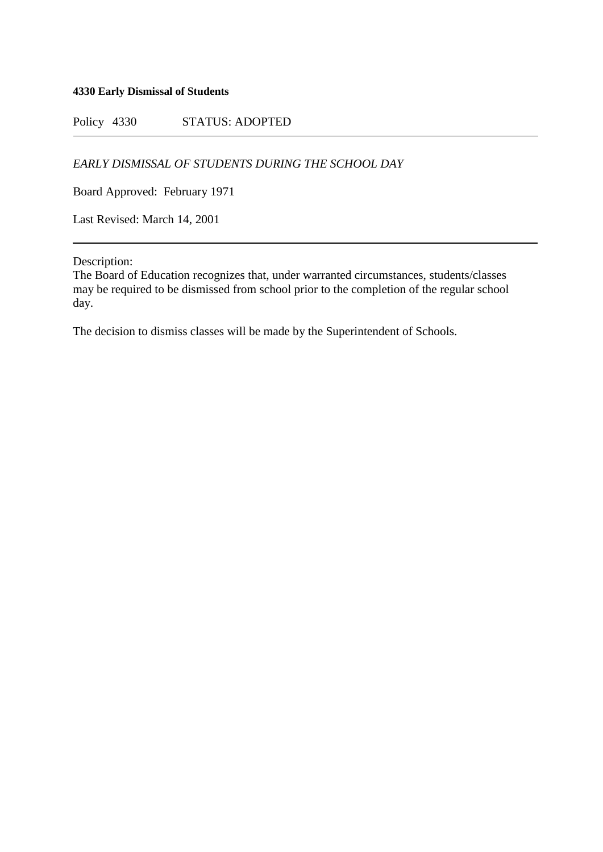#### **4330 Early Dismissal of Students**

Policy 4330 STATUS: ADOPTED

*EARLY DISMISSAL OF STUDENTS DURING THE SCHOOL DAY*

Board Approved: February 1971

Last Revised: March 14, 2001

Description:

The Board of Education recognizes that, under warranted circumstances, students/classes may be required to be dismissed from school prior to the completion of the regular school day.

The decision to dismiss classes will be made by the Superintendent of Schools.